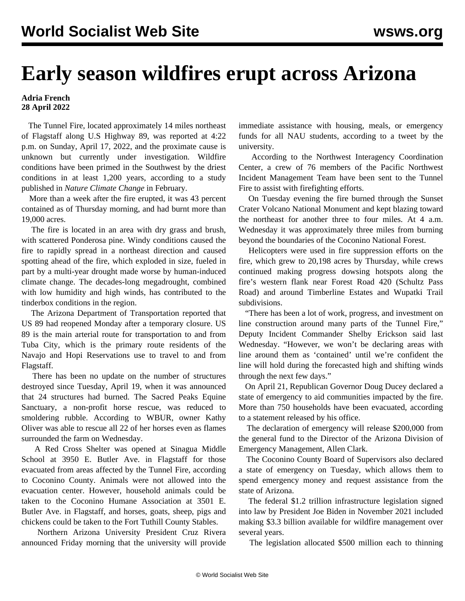## **Early season wildfires erupt across Arizona**

## **Adria French 28 April 2022**

 The Tunnel Fire, located approximately 14 miles northeast of Flagstaff along U.S Highway 89, was reported at 4:22 p.m. on Sunday, April 17, 2022, and the proximate cause is unknown but currently under investigation. Wildfire conditions have been primed in the Southwest by the driest conditions in at least 1,200 years, according to a study published in *Nature Climate Change* in February.

 More than a week after the fire erupted, it was 43 percent contained as of Thursday morning, and had burnt more than 19,000 acres.

 The fire is located in an area with dry grass and brush, with scattered Ponderosa pine. Windy conditions caused the fire to rapidly spread in a northeast direction and caused spotting ahead of the fire, which exploded in size, fueled in part by a multi-year drought made worse by human-induced climate change. The decades-long megadrought, combined with low humidity and high winds, has contributed to the tinderbox conditions in the region.

 The Arizona Department of Transportation reported that US 89 had reopened Monday after a temporary closure. US 89 is the main arterial route for transportation to and from Tuba City, which is the primary route residents of the Navajo and Hopi Reservations use to travel to and from Flagstaff.

 There has been no update on the number of structures destroyed since Tuesday, April 19, when it was announced that 24 structures had burned. The Sacred Peaks Equine Sanctuary, a non-profit horse rescue, was reduced to smoldering rubble. According to WBUR, owner Kathy Oliver was able to rescue all 22 of her horses even as flames surrounded the farm on Wednesday.

 A Red Cross Shelter was opened at Sinagua Middle School at 3950 E. Butler Ave. in Flagstaff for those evacuated from areas affected by the Tunnel Fire, according to Coconino County. Animals were not allowed into the evacuation center. However, household animals could be taken to the Coconino Humane Association at 3501 E. Butler Ave. in Flagstaff, and horses, goats, sheep, pigs and chickens could be taken to the Fort Tuthill County Stables.

 Northern Arizona University President Cruz Rivera announced Friday morning that the university will provide immediate assistance with housing, meals, or emergency funds for all NAU students, according to a tweet by the university.

 According to the Northwest Interagency Coordination Center, a crew of 76 members of the Pacific Northwest Incident Management Team have been sent to the Tunnel Fire to assist with firefighting efforts.

 On Tuesday evening the fire burned through the Sunset Crater Volcano National Monument and kept blazing toward the northeast for another three to four miles. At 4 a.m. Wednesday it was approximately three miles from burning beyond the boundaries of the Coconino National Forest.

 Helicopters were used in fire suppression efforts on the fire, which grew to 20,198 acres by Thursday, while crews continued making progress dowsing hotspots along the fire's western flank near Forest Road 420 (Schultz Pass Road) and around Timberline Estates and Wupatki Trail subdivisions.

 "There has been a lot of work, progress, and investment on line construction around many parts of the Tunnel Fire," Deputy Incident Commander Shelby Erickson said last Wednesday. "However, we won't be declaring areas with line around them as 'contained' until we're confident the line will hold during the forecasted high and shifting winds through the next few days."

 On April 21, Republican Governor Doug Ducey declared a state of emergency to aid communities impacted by the fire. More than 750 households have been evacuated, according to a statement released by his office.

 The declaration of emergency will release \$200,000 from the general fund to the Director of the Arizona Division of Emergency Management, Allen Clark.

 The Coconino County Board of Supervisors also declared a state of emergency on Tuesday, which allows them to spend emergency money and request assistance from the state of Arizona.

 The federal \$1.2 trillion infrastructure legislation signed into law by President Joe Biden in November 2021 included making \$3.3 billion available for wildfire management over several years.

The legislation allocated \$500 million each to thinning